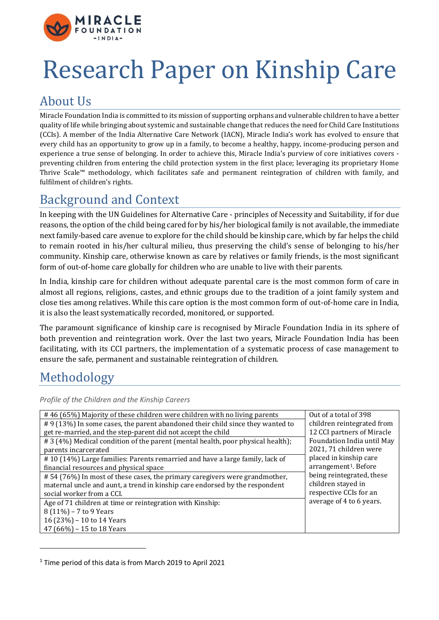

# Research Paper on Kinship Care

# About Us

Miracle Foundation India is committed to its mission of supporting orphans and vulnerable children to have a better quality of life while bringing about systemic and sustainable change that reduces the need for Child Care Institutions (CCIs). A member of the India Alternative Care Network (IACN), Miracle India's work has evolved to ensure that every child has an opportunity to grow up in a family, to become a healthy, happy, income-producing person and experience a true sense of belonging. In order to achieve this, Miracle India's purview of core initiatives covers preventing children from entering the child protection system in the first place; leveraging its proprietary Home Thrive Scale™ methodology, which facilitates safe and permanent reintegration of children with family, and fulfilment of children's rights.

# Background and Context

In keeping with the UN Guidelines for Alternative Care - principles of Necessity and Suitability, if for due reasons, the option of the child being cared for by his/her biological family is not available, the immediate next family-based care avenue to explore for the child should be kinship care, which by far helps the child to remain rooted in his/her cultural milieu, thus preserving the child's sense of belonging to his/her community. Kinship care, otherwise known as care by relatives or family friends, is the most significant form of out-of-home care globally for children who are unable to live with their parents.

In India, kinship care for children without adequate parental care is the most common form of care in almost all regions, religions, castes, and ethnic groups due to the tradition of a joint family system and close ties among relatives. While this care option is the most common form of out-of-home care in India, it is also the least systematically recorded, monitored, or supported.

The paramount significance of kinship care is recognised by Miracle Foundation India in its sphere of both prevention and reintegration work. Over the last two years, Miracle Foundation India has been facilitating, with its CCI partners, the implementation of a systematic process of case management to ensure the safe, permanent and sustainable reintegration of children.

# Methodology

*Profile of the Children and the Kinship Careers*

| #46 (65%) Majority of these children were children with no living parents      | Out of a total of 398             |
|--------------------------------------------------------------------------------|-----------------------------------|
| #9 (13%) In some cases, the parent abandoned their child since they wanted to  | children reintegrated from        |
| get re-married, and the step-parent did not accept the child                   | 12 CCI partners of Miracle        |
| #3 (4%) Medical condition of the parent (mental health, poor physical health); | Foundation India until May        |
| parents incarcerated                                                           | 2021, 71 children were            |
| #10 (14%) Large families: Parents remarried and have a large family, lack of   | placed in kinship care            |
| financial resources and physical space                                         | arrangement <sup>1</sup> . Before |
| #54 (76%) In most of these cases, the primary caregivers were grandmother,     | being reintegrated, these         |
| maternal uncle and aunt, a trend in kinship care endorsed by the respondent    | children stayed in                |
| social worker from a CCI.                                                      | respective CCIs for an            |
| Age of 71 children at time or reintegration with Kinship:                      | average of 4 to 6 years.          |
| 8 (11%) - 7 to 9 Years                                                         |                                   |
| 16 (23%) - 10 to 14 Years                                                      |                                   |
| 47 (66%) - 15 to 18 Years                                                      |                                   |
|                                                                                |                                   |

<sup>1</sup> Time period of this data is from March 2019 to April 2021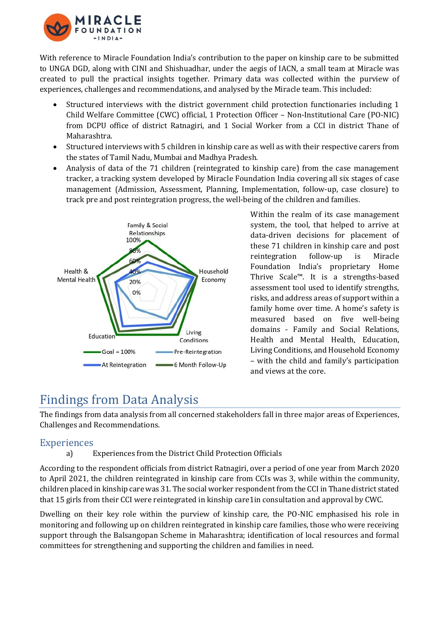

With reference to Miracle Foundation India's contribution to the paper on kinship care to be submitted to UNGA DGD, along with CINI and Shishuadhar, under the aegis of IACN, a small team at Miracle was created to pull the practical insights together. Primary data was collected within the purview of experiences, challenges and recommendations, and analysed by the Miracle team. This included:

- Structured interviews with the district government child protection functionaries including 1 Child Welfare Committee (CWC) official, 1 Protection Officer – Non-Institutional Care (PO-NIC) from DCPU office of district Ratnagiri, and 1 Social Worker from a CCI in district Thane of Maharashtra.
- Structured interviews with 5 children in kinship care as well as with their respective carers from the states of Tamil Nadu, Mumbai and Madhya Pradesh.
- Analysis of data of the 71 children (reintegrated to kinship care) from the case management tracker, a tracking system developed by Miracle Foundation India covering all six stages of case management (Admission, Assessment, Planning, Implementation, follow-up, case closure) to track pre and post reintegration progress, the well-being of the children and families.



Within the realm of its case management system, the tool, that helped to arrive at data-driven decisions for placement of these 71 children in kinship care and post reintegration follow-up is Miracle Foundation India's proprietary Home Thrive Scale™. It is a strengths-based assessment tool used to identify strengths, risks, and address areas of support within a family home over time. A home's safety is measured based on five well-being domains - Family and Social Relations, Health and Mental Health, Education, Living Conditions, and Household Economy – with the child and family's participation and views at the core.

### Findings from Data Analysis

The findings from data analysis from all concerned stakeholders fall in three major areas of Experiences, Challenges and Recommendations.

### Experiences

#### a) Experiences from the District Child Protection Officials

According to the respondent officials from district Ratnagiri, over a period of one year from March 2020 to April 2021, the children reintegrated in kinship care from CCIs was 3, while within the community, children placed in kinship care was 31. The social worker respondent from the CCI in Thane district stated that 15 girls from their CCI were reintegrated in kinship care1in consultation and approval by CWC.

Dwelling on their key role within the purview of kinship care, the PO-NIC emphasised his role in monitoring and following up on children reintegrated in kinship care families, those who were receiving support through the Balsangopan Scheme in Maharashtra; identification of local resources and formal committees for strengthening and supporting the children and families in need.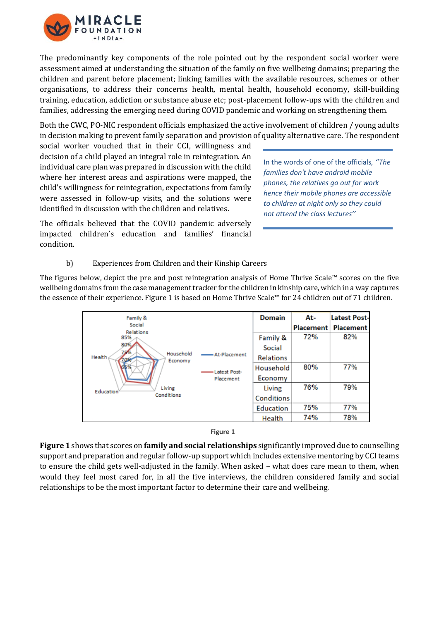

The predominantly key components of the role pointed out by the respondent social worker were assessment aimed at understanding the situation of the family on five wellbeing domains; preparing the children and parent before placement; linking families with the available resources, schemes or other organisations, to address their concerns health, mental health, household economy, skill-building training, education, addiction or substance abuse etc; post-placement follow-ups with the children and families, addressing the emerging need during COVID pandemic and working on strengthening them.

Both the CWC, PO-NIC respondent officials emphasized the active involvement of children / young adults in decision making to prevent family separation and provision of quality alternative care. The respondent

social worker vouched that in their CCI, willingness and decision of a child played an integral role in reintegration. An individual care plan was prepared in discussion with the child where her interest areas and aspirations were mapped, the child's willingness for reintegration, expectations from family were assessed in follow-up visits, and the solutions were identified in discussion with the children and relatives.

In the words of one of the officials*, ''The families don't have android mobile phones, the relatives go out for work hence their mobile phones are accessible to children at night only so they could not attend the class lectures''*

The officials believed that the COVID pandemic adversely impacted children's education and families' financial condition.

b) Experiences from Children and their Kinship Careers

The figures below, depict the pre and post reintegration analysis of Home Thrive Scale™ scores on the five wellbeing domains from the case management tracker for the children in kinship care, which in a way captures the essence of their experience. Figure 1 is based on Home Thrive Scale™ for 24 children out of 71 children.

| Family &<br>Social<br><b>Relations</b><br>85%<br>80%<br>75%<br>Household<br>Health<br>056<br>Economy<br>Living<br>Education<br>Conditions |              | <b>Domain</b>     | At-              | <b>Latest Post-</b> |
|-------------------------------------------------------------------------------------------------------------------------------------------|--------------|-------------------|------------------|---------------------|
|                                                                                                                                           | At-Placement |                   | <b>Placement</b> | <b>Placement</b>    |
|                                                                                                                                           |              | Family &          | 72%              | 82%                 |
|                                                                                                                                           |              | Social            |                  |                     |
|                                                                                                                                           |              | <b>Relations</b>  |                  |                     |
|                                                                                                                                           | Latest Post- | Household         | 80%              | 77%                 |
|                                                                                                                                           | Placement    | Economy           |                  |                     |
|                                                                                                                                           |              | Living            | 76%              | 79%                 |
|                                                                                                                                           |              | <b>Conditions</b> |                  |                     |
|                                                                                                                                           |              | Education         | 75%              | 77%                 |
|                                                                                                                                           |              | Health            | 74%              | 78%                 |

#### **Figure 1**

**Figure 1** shows that scores on **family and social relationships** significantly improved due to counselling support and preparation and regular follow-up support which includes extensive mentoring by CCI teams to ensure the child gets well-adjusted in the family. When asked – what does care mean to them, when would they feel most cared for, in all the five interviews, the children considered family and social relationships to be the most important factor to determine their care and wellbeing.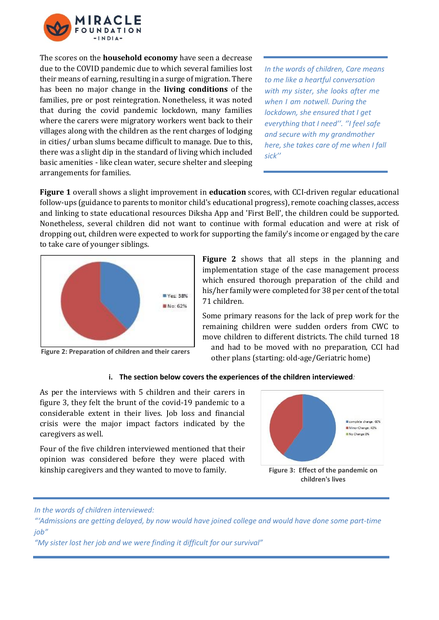

The scores on the **household economy** have seen a decrease due to the COVID pandemic due to which several families lost their means of earning, resulting in a surge of migration. There has been no major change in the **living conditions** of the families, pre or post reintegration. Nonetheless, it was noted that during the covid pandemic lockdown, many families where the carers were migratory workers went back to their villages along with the children as the rent charges of lodging in cities/ urban slums became difficult to manage. Due to this, there was a slight dip in the standard of living which included basic amenities - like clean water, secure shelter and sleeping arrangements for families.

*In the words of children, Care means to me like a heartful conversation with my sister, she looks after me when I am notwell. During the lockdown, she ensured that I get everything that I need''. ''I feel safe and secure with my grandmother here, she takes care of me when I fall sick''*

**Figure 1** overall shows a slight improvement in **education** scores, with CCI-driven regular educational follow-ups (guidance to parents to monitor child's educational progress), remote coaching classes, access and linking to state educational resources Diksha App and 'First Bell', the children could be supported. Nonetheless, several children did not want to continue with formal education and were at risk of dropping out, children were expected to work for supporting the family's income or engaged by the care to take care of younger siblings.



**Figure 2** shows that all steps in the planning and implementation stage of the case management process which ensured thorough preparation of the child and his/her family were completed for 38 per cent of the total 71 children.

Some primary reasons for the lack of prep work for the remaining children were sudden orders from CWC to move children to different districts. The child turned 18 and had to be moved with no preparation, CCI had other plans (starting: old-age/Geriatric home)

#### **i. The section below covers the experiences of the children interviewed***:*

As per the interviews with 5 children and their carers in figure 3, they felt the brunt of the covid-19 pandemic to a considerable extent in their lives. Job loss and financial crisis were the major impact factors indicated by the caregivers as well.

Four of the five children interviewed mentioned that their opinion was considered before they were placed with kinship caregivers and they wanted to move to family.



*In the words of children interviewed:* 

*"My sister lost her job and we were finding it difficult for our survival"*

*<sup>&</sup>quot;'Admissions are getting delayed, by now would have joined college and would have done some part-time job"*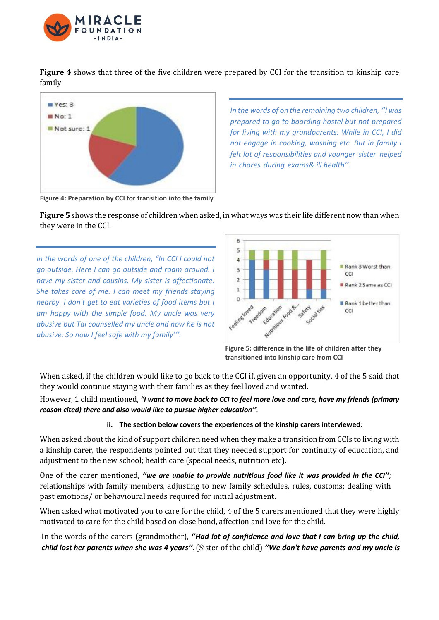

**Figure 4** shows that three of the five children were prepared by CCI for the transition to kinship care family.



*In the words of on the remaining two children, ''I was prepared to go to boarding hostel but not prepared for living with my grandparents. While in CCI, I did not engage in cooking, washing etc. But in family I felt lot of responsibilities and younger sister helped in chores during exams& ill health''.*

**Figure 4: Preparation by CCI for transition into the family**

**Figure 5** shows the response of children when asked, in what ways was their life different now than when they were in the CCI.

*In the words of one of the children, "In CCI I could not go outside. Here I can go outside and roam around. I have my sister and cousins. My sister is affectionate. She takes care of me. I can meet my friends staying nearby. I don't get to eat varieties of food items but I am happy with the simple food. My uncle was very abusive but Tai counselled my uncle and now he is not abusive. So now I feel safe with my family'''.*



**Figure 5: difference in the life of children after they transitioned into kinship care from CCI**

When asked, if the children would like to go back to the CCI if, given an opportunity, 4 of the 5 said that they would continue staying with their families as they feel loved and wanted.

However, 1 child mentioned, *"I want to move back to CCI to feel more love and care, have my friends (primary reason cited) there and also would like to pursue higher education''.*

#### **ii. The section below covers the experiences of the kinship carers interviewed***:*

When asked about the kind of support children need when they make a transition from CCIs to living with a kinship carer, the respondents pointed out that they needed support for continuity of education, and adjustment to the new school; health care (special needs, nutrition etc).

One of the carer mentioned, *''we are unable to provide nutritious food like it was provided in the CCI'';*  relationships with family members, adjusting to new family schedules, rules, customs; dealing with past emotions/ or behavioural needs required for initial adjustment.

When asked what motivated you to care for the child, 4 of the 5 carers mentioned that they were highly motivated to care for the child based on close bond, affection and love for the child.

In the words of the carers (grandmother), *''Had lot of confidence and love that I can bring up the child,* child lost her parents when she was 4 years". (Sister of the child) "We don't have parents and my uncle is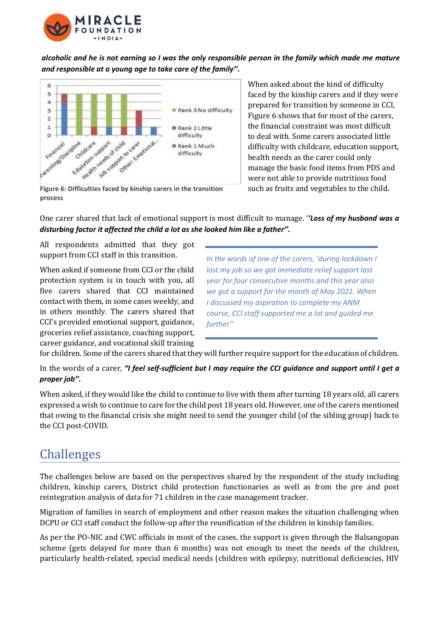

*alcoholic and he is not earning so I was the only responsible person in the family which made me mature and responsible at a young age to take care of the family''.*



When asked about the kind of difficulty faced by the kinship carers and if they were prepared for transition by someone in CCI, Figure 6 shows that for most of the carers, the financial constraint was most difficult to deal with. Some carers associated little difficulty with childcare, education support, health needs as the carer could only manage the basic food items from PDS and were not able to provide nutritious food such as fruits and vegetables to the child.

**Figure 6: Difficulties faced by kinship carers in the transition process**

One carer shared that lack of emotional support is most difficult to manage. '*'Loss of my husband was a disturbing factor it affected the child a lot as she looked him like a father''.*

All respondents admitted that they got support from CCI staff in this transition.

When asked if someone from CCI or the child protection system is in touch with you, all five carers shared that CCI maintained contact with them, in some cases weekly, and in others monthly. The carers shared that CCI's provided emotional support, guidance, groceries relief assistance, coaching support, career guidance, and vocational skill training

*In the words of one of the carers, 'during lockdown I lost my job so we got immediate relief support last year for four consecutive months and this year also we got a support for the month of May 2021. When I discussed my aspiration to complete my ANM course, CCI staff supported me a lot and guided me further''*

for children. Some ofthe carers shared that they will further require support for the education of children.

In the words of a carer, *"I feel self-sufficient but I may require the CCI guidance and support until I get a proper job''.*

When asked, if they would like the child to continue to live with them after turning 18 years old, all carers expressed a wish to continue to care for the child post 18 years old. However, one of the carers mentioned that owing to the financial crisis she might need to send the younger child (of the sibling group) back to the CCI post-COVID.

### Challenges

The challenges below are based on the perspectives shared by the respondent of the study including children, kinship carers, District child protection functionaries as well as from the pre and post reintegration analysis of data for 71 children in the case management tracker.

Migration of families in search of employment and other reason makes the situation challenging when DCPU or CCI staff conduct the follow-up after the reunification of the children in kinship families.

As per the PO-NIC and CWC officials in most of the cases, the support is given through the Balsangopan scheme (gets delayed for more than 6 months) was not enough to meet the needs of the children, particularly health-related, special medical needs (children with epilepsy, nutritional deficiencies, HIV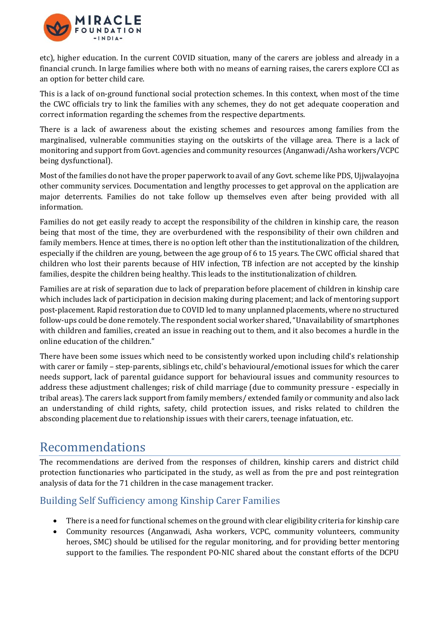

etc), higher education. In the current COVID situation, many of the carers are jobless and already in a financial crunch. In large families where both with no means of earning raises, the carers explore CCI as an option for better child care.

This is a lack of on-ground functional social protection schemes. In this context, when most of the time the CWC officials try to link the families with any schemes, they do not get adequate cooperation and correct information regarding the schemes from the respective departments.

There is a lack of awareness about the existing schemes and resources among families from the marginalised, vulnerable communities staying on the outskirts of the village area. There is a lack of monitoring and support from Govt. agencies and community resources (Anganwadi/Asha workers/VCPC being dysfunctional).

Most of the families do not have the proper paperwork to avail of any Govt. scheme like PDS, Ujjwalayojna other community services. Documentation and lengthy processes to get approval on the application are major deterrents. Families do not take follow up themselves even after being provided with all information.

Families do not get easily ready to accept the responsibility of the children in kinship care, the reason being that most of the time, they are overburdened with the responsibility of their own children and family members. Hence at times, there is no option left other than the institutionalization of the children, especially if the children are young, between the age group of 6 to 15 years. The CWC official shared that children who lost their parents because of HIV infection, TB infection are not accepted by the kinship families, despite the children being healthy. This leads to the institutionalization of children.

Families are at risk of separation due to lack of preparation before placement of children in kinship care which includes lack of participation in decision making during placement; and lack of mentoring support post-placement. Rapid restoration due to COVID led to many unplanned placements, where no structured follow-ups could be done remotely. The respondent social worker shared, "Unavailability of smartphones with children and families, created an issue in reaching out to them, and it also becomes a hurdle in the online education of the children."

There have been some issues which need to be consistently worked upon including child's relationship with carer or family – step-parents, siblings etc, child's behavioural/emotional issues for which the carer needs support, lack of parental guidance support for behavioural issues and community resources to address these adjustment challenges; risk of child marriage (due to community pressure - especially in tribal areas). The carers lack support from family members/ extended family or community and also lack an understanding of child rights, safety, child protection issues, and risks related to children the absconding placement due to relationship issues with their carers, teenage infatuation, etc.

### Recommendations

The recommendations are derived from the responses of children, kinship carers and district child protection functionaries who participated in the study, as well as from the pre and post reintegration analysis of data for the 71 children in the case management tracker.

### Building Self Sufficiency among Kinship Carer Families

- There is a need for functional schemes on the ground with clear eligibility criteria for kinship care
- Community resources (Anganwadi, Asha workers, VCPC, community volunteers, community heroes, SMC) should be utilised for the regular monitoring, and for providing better mentoring support to the families. The respondent PO-NIC shared about the constant efforts of the DCPU